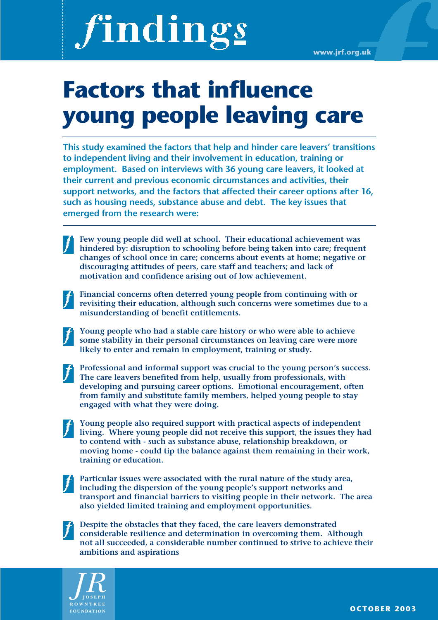# findings

# **Factors that influence young people leaving care**

**This study examined the factors that help and hinder care leavers' transitions to independent living and their involvement in education, training or employment. Based on interviews with 36 young care leavers, it looked at their current and previous economic circumstances and activities, their support networks, and the factors that affected their career options after 16, such as housing needs, substance abuse and debt. The key issues that emerged from the research were:** 

**Few young people did well at school. Their educational achievement was hindered by: disruption to schooling before being taken into care; frequent changes of school once in care; concerns about events at home; negative or discouraging attitudes of peers, care staff and teachers; and lack of motivation and confidence arising out of low achievement.**

**Financial concerns often deterred young people from continuing with or revisiting their education, although such concerns were sometimes due to a misunderstanding of benefit entitlements.** 

**Young people who had a stable care history or who were able to achieve some stability in their personal circumstances on leaving care were more likely to enter and remain in employment, training or study.** 

**Professional and informal support was crucial to the young person's success. The care leavers benefited from help, usually from professionals, with developing and pursuing career options. Emotional encouragement, often from family and substitute family members, helped young people to stay engaged with what they were doing.** 

**Young people also required support with practical aspects of independent living. Where young people did not receive this support, the issues they had to contend with - such as substance abuse, relationship breakdown, or moving home - could tip the balance against them remaining in their work, training or education.** 

**Particular issues were associated with the rural nature of the study area, including the dispersion of the young people's support networks and transport and financial barriers to visiting people in their network. The area also yielded limited training and employment opportunities.** 

**Despite the obstacles that they faced, the care leavers demonstrated considerable resilience and determination in overcoming them. Although not all succeeded, a considerable number continued to strive to achieve their ambitions and aspirations**

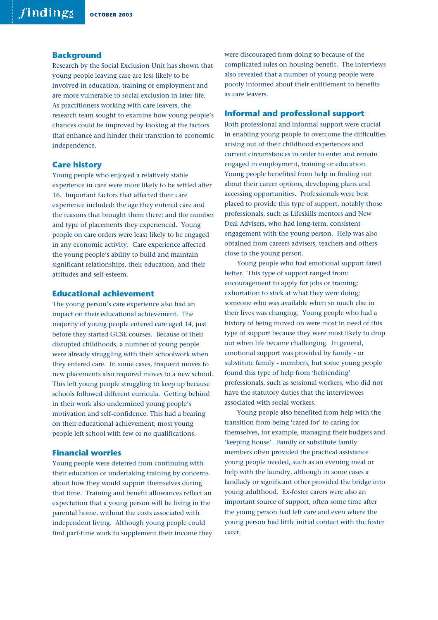### **Background**

Research by the Social Exclusion Unit has shown that young people leaving care are less likely to be involved in education, training or employment and are more vulnerable to social exclusion in later life. As practitioners working with care leavers, the research team sought to examine how young people's chances could be improved by looking at the factors that enhance and hinder their transition to economic independence.

### **Care history**

Young people who enjoyed a relatively stable experience in care were more likely to be settled after 16. Important factors that affected their care experience included: the age they entered care and the reasons that brought them there; and the number and type of placements they experienced. Young people on care orders were least likely to be engaged in any economic activity. Care experience affected the young people's ability to build and maintain significant relationships, their education, and their attitudes and self-esteem.

### **Educational achievement**

The young person's care experience also had an impact on their educational achievement. The majority of young people entered care aged 14, just before they started GCSE courses. Because of their disrupted childhoods, a number of young people were already struggling with their schoolwork when they entered care. In some cases, frequent moves to new placements also required moves to a new school. This left young people struggling to keep up because schools followed different curricula. Getting behind in their work also undermined young people's motivation and self-confidence. This had a bearing on their educational achievement; most young people left school with few or no qualifications.

### **Financial worries**

Young people were deterred from continuing with their education or undertaking training by concerns about how they would support themselves during that time. Training and benefit allowances reflect an expectation that a young person will be living in the parental home, without the costs associated with independent living. Although young people could find part-time work to supplement their income they were discouraged from doing so because of the complicated rules on housing benefit. The interviews also revealed that a number of young people were poorly informed about their entitlement to benefits as care leavers.

### **Informal and professional support**

Both professional and informal support were crucial in enabling young people to overcome the difficulties arising out of their childhood experiences and current circumstances in order to enter and remain engaged in employment, training or education. Young people benefited from help in finding out about their career options, developing plans and accessing opportunities. Professionals were best placed to provide this type of support, notably those professionals, such as Lifeskills mentors and New Deal Advisers, who had long-term, consistent engagement with the young person. Help was also obtained from careers advisers, teachers and others close to the young person.

Young people who had emotional support fared better. This type of support ranged from: encouragement to apply for jobs or training; exhortation to stick at what they were doing; someone who was available when so much else in their lives was changing. Young people who had a history of being moved on were most in need of this type of support because they were most likely to drop out when life became challenging. In general, emotional support was provided by family - or substitute family - members, but some young people found this type of help from 'befriending' professionals, such as sessional workers, who did not have the statutory duties that the interviewees associated with social workers.

Young people also benefited from help with the transition from being 'cared for' to caring for themselves, for example, managing their budgets and 'keeping house'. Family or substitute family members often provided the practical assistance young people needed, such as an evening meal or help with the laundry, although in some cases a landlady or significant other provided the bridge into young adulthood. Ex-foster carers were also an important source of support, often some time after the young person had left care and even where the young person had little initial contact with the foster carer.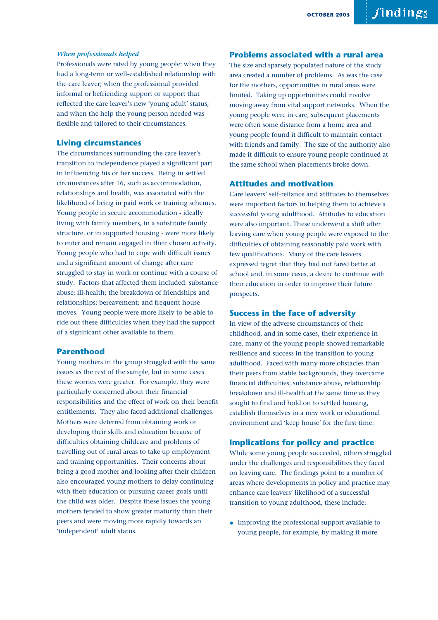### *When professionals helped*

Professionals were rated by young people: when they had a long-term or well-established relationship with the care leaver; when the professional provided informal or befriending support or support that reflected the care leaver's new 'young adult' status; and when the help the young person needed was flexible and tailored to their circumstances.

### **Living circumstances**

The circumstances surrounding the care leaver's transition to independence played a significant part in influencing his or her success. Being in settled circumstances after 16, such as accommodation, relationships and health, was associated with the likelihood of being in paid work or training schemes. Young people in secure accommodation - ideally living with family members, in a substitute family structure, or in supported housing - were more likely to enter and remain engaged in their chosen activity. Young people who had to cope with difficult issues and a significant amount of change after care struggled to stay in work or continue with a course of study. Factors that affected them included: substance abuse; ill-health; the breakdown of friendships and relationships; bereavement; and frequent house moves. Young people were more likely to be able to ride out these difficulties when they had the support of a significant other available to them.

### **Parenthood**

Young mothers in the group struggled with the same issues as the rest of the sample, but in some cases these worries were greater. For example, they were particularly concerned about their financial responsibilities and the effect of work on their benefit entitlements. They also faced additional challenges. Mothers were deterred from obtaining work or developing their skills and education because of difficulties obtaining childcare and problems of travelling out of rural areas to take up employment and training opportunities. Their concerns about being a good mother and looking after their children also encouraged young mothers to delay continuing with their education or pursuing career goals until the child was older. Despite these issues the young mothers tended to show greater maturity than their peers and were moving more rapidly towards an 'independent' adult status.

### **Problems associated with a rural area**

The size and sparsely populated nature of the study area created a number of problems. As was the case for the mothers, opportunities in rural areas were limited. Taking up opportunities could involve moving away from vital support networks. When the young people were in care, subsequent placements were often some distance from a home area and young people found it difficult to maintain contact with friends and family. The size of the authority also made it difficult to ensure young people continued at the same school when placements broke down.

### **Attitudes and motivation**

Care leavers' self-reliance and attitudes to themselves were important factors in helping them to achieve a successful young adulthood. Attitudes to education were also important. These underwent a shift after leaving care when young people were exposed to the difficulties of obtaining reasonably paid work with few qualifications. Many of the care leavers expressed regret that they had not fared better at school and, in some cases, a desire to continue with their education in order to improve their future prospects.

### **Success in the face of adversity**

In view of the adverse circumstances of their childhood, and in some cases, their experience in care, many of the young people showed remarkable resilience and success in the transition to young adulthood. Faced with many more obstacles than their peers from stable backgrounds, they overcame financial difficulties, substance abuse, relationship breakdown and ill-health at the same time as they sought to find and hold on to settled housing, establish themselves in a new work or educational environment and 'keep house' for the first time.

### **Implications for policy and practice**

While some young people succeeded, others struggled under the challenges and responsibilities they faced on leaving care. The findings point to a number of areas where developments in policy and practice may enhance care leavers' likelihood of a successful transition to young adulthood, these include:

• Improving the professional support available to young people, for example, by making it more